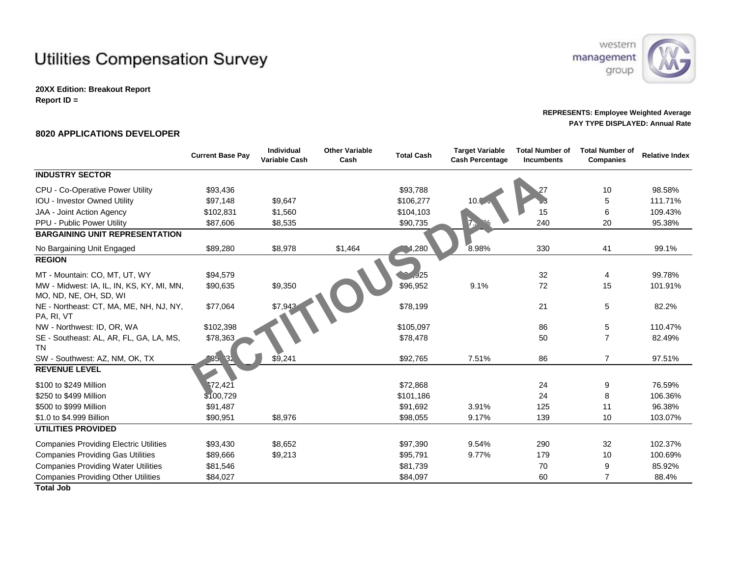## **Utilities Compensation Survey**

**20XX Edition: Breakout Report Report ID =** 



## **REPRESENTS: Employee Weighted Average PAY TYPE DISPLAYED: Annual Rate**

## **8020 APPLICATIONS DEVELOPER**

|                                                                             | <b>Current Base Pay</b> | Individual<br><b>Variable Cash</b> | <b>Other Variable</b><br>Cash | <b>Total Cash</b> | <b>Target Variable</b><br><b>Cash Percentage</b> | <b>Total Number of</b><br><b>Incumbents</b> | Total Number of<br><b>Companies</b> | <b>Relative Index</b> |
|-----------------------------------------------------------------------------|-------------------------|------------------------------------|-------------------------------|-------------------|--------------------------------------------------|---------------------------------------------|-------------------------------------|-----------------------|
| <b>INDUSTRY SECTOR</b>                                                      |                         |                                    |                               |                   |                                                  |                                             |                                     |                       |
| CPU - Co-Operative Power Utility                                            | \$93,436                |                                    |                               | \$93,788          |                                                  |                                             | 10                                  | 98.58%                |
| <b>IOU - Investor Owned Utility</b>                                         | \$97,148                | \$9,647                            |                               | \$106,277         | 10. $\epsilon$                                   |                                             | 5                                   | 111.71%               |
| JAA - Joint Action Agency                                                   | \$102,831               | \$1,560                            |                               | \$104,103         |                                                  | 15                                          | 6                                   | 109.43%               |
| PPU - Public Power Utility                                                  | \$87,606                | \$8,535                            |                               | \$90,735          | $\vec{b}$                                        | 240                                         | 20                                  | 95.38%                |
| <b>BARGAINING UNIT REPRESENTATION</b>                                       |                         |                                    |                               |                   |                                                  |                                             |                                     |                       |
| No Bargaining Unit Engaged                                                  | \$89,280                | \$8,978                            | \$1,464                       | 1,280             | 8.98%                                            | 330                                         | 41                                  | 99.1%                 |
| <b>REGION</b>                                                               |                         |                                    |                               |                   |                                                  |                                             |                                     |                       |
| MT - Mountain: CO, MT, UT, WY                                               | \$94,579                |                                    |                               | ر25               |                                                  | 32                                          | 4                                   | 99.78%                |
| MW - Midwest: IA, IL, IN, KS, KY, MI, MN,<br>MO, ND, NE, OH, SD, WI         | \$90,635                | \$9,350                            |                               | \$96,952          | 9.1%                                             | 72                                          | 15                                  | 101.91%               |
| NE - Northeast: CT, MA, ME, NH, NJ, NY,<br>PA, RI, VT                       | \$77,064                | \$7,943                            |                               | \$78,199          |                                                  | 21                                          | 5                                   | 82.2%                 |
| NW - Northwest: ID, OR, WA                                                  | \$102,398               |                                    |                               | \$105,097         |                                                  | 86                                          | 5                                   | 110.47%               |
| SE - Southeast: AL, AR, FL, GA, LA, MS,<br><b>TN</b>                        | \$78,363                |                                    |                               | \$78,478          |                                                  | 50                                          | $\overline{7}$                      | 82.49%                |
| SW - Southwest: AZ, NM, OK, TX                                              | 36,<br>3 <sup>1</sup>   | \$9,241                            |                               | \$92,765          | 7.51%                                            | 86                                          | $\overline{7}$                      | 97.51%                |
| <b>REVENUE LEVEL</b>                                                        |                         |                                    |                               |                   |                                                  |                                             |                                     |                       |
| \$100 to \$249 Million                                                      | ົ\72,421້               |                                    |                               | \$72,868          |                                                  | 24                                          | 9                                   | 76.59%                |
| \$250 to \$499 Million                                                      | \$100,729               |                                    |                               | \$101,186         |                                                  | 24                                          | 8                                   | 106.36%               |
| \$500 to \$999 Million                                                      | \$91,487                |                                    |                               | \$91,692          | 3.91%                                            | 125                                         | 11                                  | 96.38%                |
| \$1.0 to \$4.999 Billion                                                    | \$90,951                | \$8,976                            |                               | \$98,055          | 9.17%                                            | 139                                         | 10                                  | 103.07%               |
| <b>UTILITIES PROVIDED</b>                                                   |                         |                                    |                               |                   |                                                  |                                             |                                     |                       |
| <b>Companies Providing Electric Utilities</b>                               | \$93,430                | \$8,652                            |                               | \$97,390          | 9.54%                                            | 290                                         | 32                                  | 102.37%               |
| <b>Companies Providing Gas Utilities</b>                                    | \$89,666                | \$9,213                            |                               | \$95,791          | 9.77%                                            | 179                                         | 10                                  | 100.69%               |
| <b>Companies Providing Water Utilities</b>                                  | \$81,546                |                                    |                               | \$81,739          |                                                  | 70                                          | 9                                   | 85.92%                |
| <b>Companies Providing Other Utilities</b><br><b>The Country of Country</b> | \$84,027                |                                    |                               | \$84,097          |                                                  | 60                                          |                                     | 88.4%                 |

**Total Job**